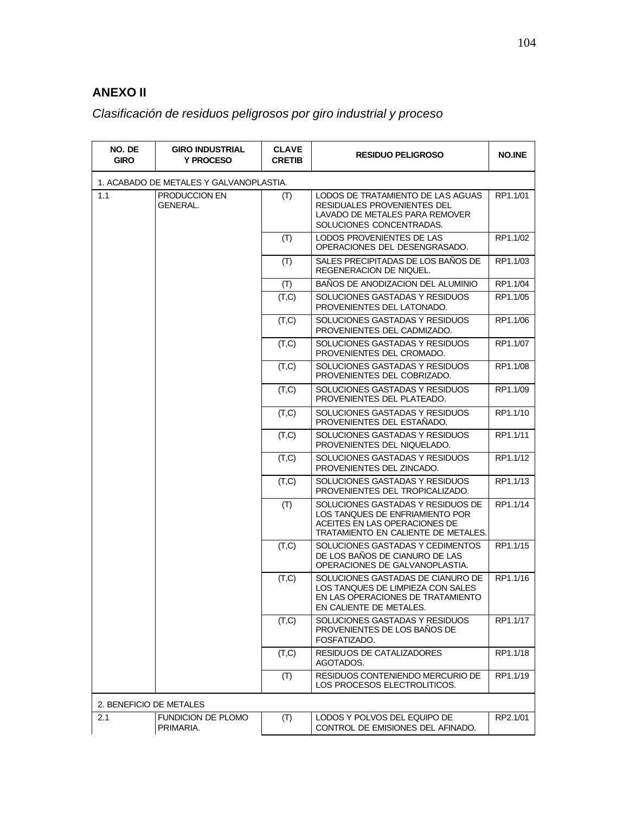## **ANEXO II**

## *Clasificación de residuos peligrosos por giro industrial y proceso*

| NO. DE<br><b>GIRO</b>                   | <b>GIRO INDUSTRIAL</b><br><b>Y PROCESO</b> | <b>CLAVE</b><br><b>CRETIB</b> | <b>RESIDUO PELIGROSO</b>                                                                                                                     | <b>NO.INE</b> |  |  |
|-----------------------------------------|--------------------------------------------|-------------------------------|----------------------------------------------------------------------------------------------------------------------------------------------|---------------|--|--|
| 1. ACABADO DE METALES Y GALVANOPLASTIA. |                                            |                               |                                                                                                                                              |               |  |  |
| 1.1                                     | PRODUCCION EN<br>GENERAL.                  | (T)                           | LODOS DE TRATAMIENTO DE LAS AGUAS<br>RESIDUALES PROVENIENTES DEL<br>LAVADO DE METALES PARA REMOVER<br>SOLUCIONES CONCENTRADAS.               | RP1.1/01      |  |  |
|                                         |                                            | (T)                           | LODOS PROVENIENTES DE LAS<br>OPERACIONES DEL DESENGRASADO.                                                                                   | RP1.1/02      |  |  |
|                                         |                                            | (T)                           | SALES PRECIPITADAS DE LOS BAÑOS DE<br>REGENERACION DE NIQUEL.                                                                                | RP1.1/03      |  |  |
|                                         |                                            | (T)                           | <b>BANOS DE ANODIZACION DEL ALUMINIO</b>                                                                                                     | RP1.1/04      |  |  |
|                                         |                                            | (T,C)                         | SOLUCIONES GASTADAS Y RESIDUOS<br>PROVENIENTES DEL LATONADO.                                                                                 | RP1.1/05      |  |  |
|                                         |                                            | (T,C)                         | SOLUCIONES GASTADAS Y RESIDUOS<br>PROVENIENTES DEL CADMIZADO.                                                                                | RP1.1/06      |  |  |
|                                         |                                            | (T,C)                         | SOLUCIONES GASTADAS Y RESIDUOS<br>PROVENIENTES DEL CROMADO.                                                                                  | RP1.1/07      |  |  |
|                                         |                                            | (T,C)                         | SOLUCIONES GASTADAS Y RESIDUOS<br>PROVENIENTES DEL COBRIZADO.                                                                                | RP1.1/08      |  |  |
|                                         |                                            | (T,C)                         | SOLUCIONES GASTADAS Y RESIDUOS<br>PROVENIENTES DEL PLATEADO.                                                                                 | RP1.1/09      |  |  |
|                                         |                                            | (T,C)                         | SOLUCIONES GASTADAS Y RESIDUOS<br>PROVENIENTES DEL ESTAÑADO.                                                                                 | RP1.1/10      |  |  |
|                                         |                                            | (T,C)                         | SOLUCIONES GASTADAS Y RESIDUOS<br>PROVENIENTES DEL NIQUELADO.                                                                                | RP1.1/11      |  |  |
|                                         |                                            | (T,C)                         | SOLUCIONES GASTADAS Y RESIDUOS<br>PROVENIENTES DEL ZINCADO.                                                                                  | RP1.1/12      |  |  |
|                                         |                                            | (T,C)                         | SOLUCIONES GASTADAS Y RESIDUOS<br>PROVENIENTES DEL TROPICALIZADO.                                                                            | RP1.1/13      |  |  |
|                                         |                                            | (T)                           | SOLUCIONES GASTADAS Y RESIDUOS DE<br>LOS TANQUES DE ENFRIAMIENTO POR<br>ACEITES EN LAS OPERACIONES DE<br>TRATAMIENTO EN CALIENTE DE METALES. | RP1.1/14      |  |  |
|                                         |                                            | (T,C)                         | SOLUCIONES GASTADAS Y CEDIMENTOS<br>DE LOS BAÑOS DE CIANURO DE LAS<br>OPERACIONES DE GALVANOPLASTIA.                                         | RP1.1/15      |  |  |
|                                         |                                            | (T,C)                         | SOLUCIONES GASTADAS DE CIANURO DE<br>LOS TANQUES DE LIMPIEZA CON SALES<br>EN LAS OPERACIONES DE TRATAMIENTO<br>EN CALIENTE DE METALES.       | RP1.1/16      |  |  |
|                                         |                                            | (T,C)                         | SOLUCIONES GASTADAS Y RESIDUOS<br>PROVENIENTES DE LOS BAÑOS DE<br>FOSFATIZADO.                                                               | RP1.1/17      |  |  |
|                                         |                                            | (T,C)                         | RESIDUOS DE CATALIZADORES<br>AGOTADOS.                                                                                                       | RP1.1/18      |  |  |
|                                         |                                            | (T)                           | RESIDUOS CONTENIENDO MERCURIO DE<br>LOS PROCESOS ELECTROLITICOS.                                                                             | RP1.1/19      |  |  |
| 2. BENEFICIO DE METALES                 |                                            |                               |                                                                                                                                              |               |  |  |
| 2.1                                     | FUNDICION DE PLOMO<br>PRIMARIA.            | (T)                           | LODOS Y POLVOS DEL EQUIPO DE<br>CONTROL DE EMISIONES DEL AFINADO.                                                                            | RP2.1/01      |  |  |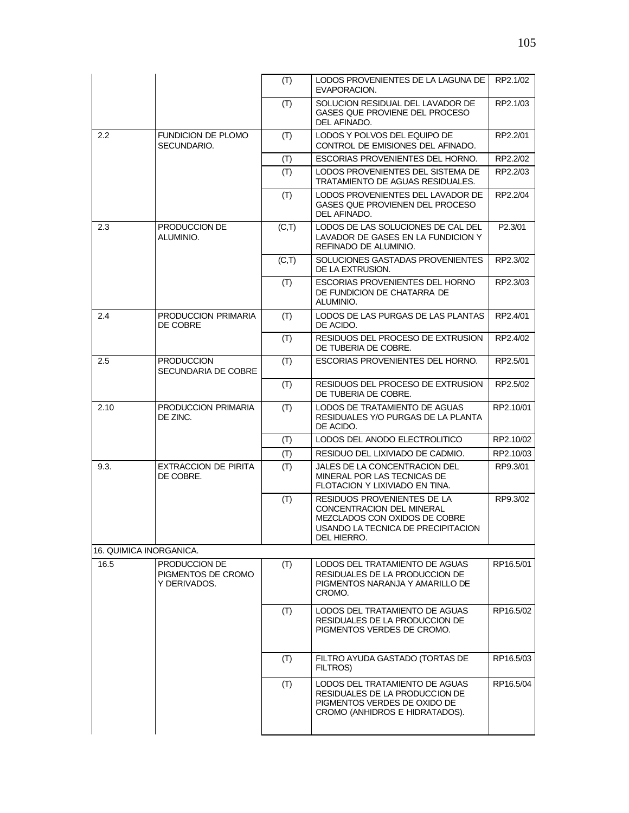|                         |                                                     | (T)   | LODOS PROVENIENTES DE LA LAGUNA DE<br>EVAPORACION.                                                                                             | RP2.1/02  |
|-------------------------|-----------------------------------------------------|-------|------------------------------------------------------------------------------------------------------------------------------------------------|-----------|
|                         |                                                     | (T)   | SOLUCION RESIDUAL DEL LAVADOR DE<br>GASES QUE PROVIENE DEL PROCESO<br>DEL AFINADO.                                                             | RP2.1/03  |
| $2.2\phantom{0}$        | FUNDICION DE PLOMO<br>SECUNDARIO.                   | (T)   | LODOS Y POLVOS DEL EQUIPO DE<br>CONTROL DE EMISIONES DEL AFINADO.                                                                              | RP2.2/01  |
|                         |                                                     | (T)   | ESCORIAS PROVENIENTES DEL HORNO.                                                                                                               | RP2.2/02  |
|                         |                                                     | (T)   | LODOS PROVENIENTES DEL SISTEMA DE<br>TRATAMIENTO DE AGUAS RESIDUALES.                                                                          | RP2.2/03  |
|                         |                                                     | (T)   | LODOS PROVENIENTES DEL LAVADOR DE<br>GASES QUE PROVIENEN DEL PROCESO<br>DEL AFINADO.                                                           | RP2.2/04  |
| 2.3                     | PRODUCCION DE<br>ALUMINIO.                          | (C,T) | LODOS DE LAS SOLUCIONES DE CAL DEL<br>LAVADOR DE GASES EN LA FUNDICION Y<br>REFINADO DE ALUMINIO.                                              | P2.3/01   |
|                         |                                                     | (C,T) | SOLUCIONES GASTADAS PROVENIENTES<br>DE LA EXTRUSION.                                                                                           | RP2.3/02  |
|                         |                                                     | (T)   | ESCORIAS PROVENIENTES DEL HORNO<br>DE FUNDICION DE CHATARRA DE<br>ALUMINIO.                                                                    | RP2.3/03  |
| 2.4                     | PRODUCCION PRIMARIA<br>DE COBRE                     | (T)   | LODOS DE LAS PURGAS DE LAS PLANTAS<br>DE ACIDO.                                                                                                | RP2.4/01  |
|                         |                                                     | (T)   | RESIDUOS DEL PROCESO DE EXTRUSION<br>DE TUBERIA DE COBRE.                                                                                      | RP2.4/02  |
| 2.5                     | <b>PRODUCCION</b><br>SECUNDARIA DE COBRE            | (T)   | ESCORIAS PROVENIENTES DEL HORNO.                                                                                                               | RP2.5/01  |
|                         |                                                     | (T)   | RESIDUOS DEL PROCESO DE EXTRUSION<br>DE TUBERIA DE COBRE.                                                                                      | RP2.5/02  |
| 2.10                    | PRODUCCION PRIMARIA<br>DE ZINC.                     | (T)   | LODOS DE TRATAMIENTO DE AGUAS<br>RESIDUALES Y/O PURGAS DE LA PLANTA<br>DE ACIDO.                                                               | RP2.10/01 |
|                         |                                                     | (T)   | LODOS DEL ANODO ELECTROLITICO                                                                                                                  | RP2.10/02 |
|                         |                                                     | (T)   | RESIDUO DEL LIXIVIADO DE CADMIO.                                                                                                               | RP2.10/03 |
| 9.3.                    | EXTRACCION DE PIRITA<br>DE COBRE.                   | (T)   | JALES DE LA CONCENTRACION DEL<br>MINERAL POR LAS TECNICAS DE<br>FLOTACION Y LIXIVIADO EN TINA.                                                 | RP9.3/01  |
|                         |                                                     | (T)   | RESIDUOS PROVENIENTES DE LA<br>CONCENTRACION DEL MINERAL<br>MEZCLADOS CON OXIDOS DE COBRE<br>USANDO LA TECNICA DE PRECIPITACION<br>DEL HIERRO. | RP9.3/02  |
| 16. QUIMICA INORGANICA. |                                                     |       |                                                                                                                                                |           |
| 16.5                    | PRODUCCION DE<br>PIGMENTOS DE CROMO<br>Y DERIVADOS. | (T)   | LODOS DEL TRATAMIENTO DE AGUAS<br>RESIDUALES DE LA PRODUCCION DE<br>PIGMENTOS NARANJA Y AMARILLO DE<br>CROMO.                                  | RP16.5/01 |
|                         |                                                     | (T)   | LODOS DEL TRATAMIENTO DE AGUAS<br>RESIDUALES DE LA PRODUCCION DE<br>PIGMENTOS VERDES DE CROMO.                                                 | RP16.5/02 |
|                         |                                                     | (T)   | FILTRO AYUDA GASTADO (TORTAS DE<br>FILTROS)                                                                                                    | RP16.5/03 |
|                         |                                                     | (T)   | LODOS DEL TRATAMIENTO DE AGUAS<br>RESIDUALES DE LA PRODUCCION DE<br>PIGMENTOS VERDES DE OXIDO DE<br>CROMO (ANHIDROS E HIDRATADOS).             | RP16.5/04 |